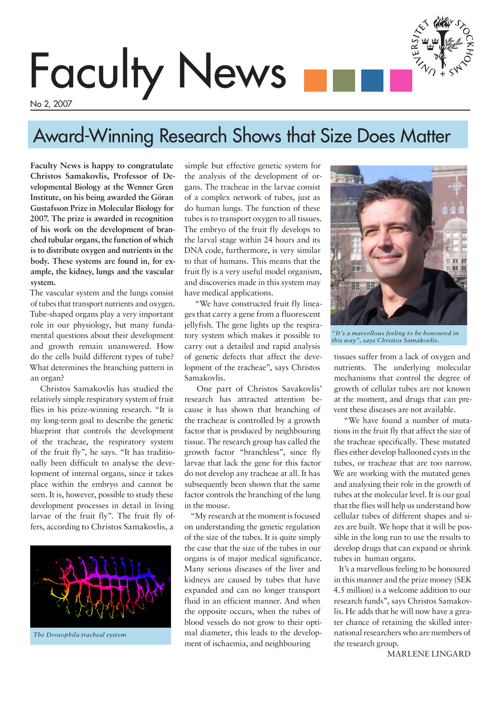# Faculty News

No 2, 2007

# Award-Winning Research Shows that Size Does Matter

**Faculty News is happy to congratulate Christos Samakovlis, Professor of Developmental Biology at the Wenner Gren Institute, on his being awarded the Göran Gustafsson Prize in Molecular Biology for 2007. The prize is awarded in recognition of his work on the development of branched tubular organs, the function of which is to distribute oxygen and nutrients in the body. These systems are found in, for example, the kidney, lungs and the vascular system.**

The vascular system and the lungs consist of tubes that transport nutrients and oxygen. Tube-shaped organs play a very important role in our physiology, but many fundamental questions about their development and growth remain unanswered. How do the cells build different types of tube? What determines the branching pattern in an organ?

 Christos Samakovlis has studied the relatively simple respiratory system of fruit flies in his prize-winning research. "It is my long-term goal to describe the genetic blueprint that controls the development of the tracheae, the respiratory system of the fruit fly", he says. "It has traditionally been difficult to analyse the development of internal organs, since it takes place within the embryo and cannot be seen. It is, however, possible to study these development processes in detail in living larvae of the fruit fly". The fruit fly offers, according to Christos Samakovlis, a



simple but effective genetic system for the analysis of the development of organs. The tracheae in the larvae consist of a complex network of tubes, just as do human lungs. The function of these tubes is to transport oxygen to all tissues. The embryo of the fruit fly develops to the larval stage within 24 hours and its DNA code, furthermore, is very similar to that of humans. This means that the fruit fly is a very useful model organism, and discoveries made in this system may have medical applications.

 "We have constructed fruit fly lineages that carry a gene from a fluorescent jellyfish. The gene lights up the respiratory system which makes it possible to carry out a detailed and rapid analysis of genetic defects that affect the development of the tracheae", says Christos Samakovlis.

 One part of Christos Savakovlis' research has attracted attention because it has shown that branching of the tracheae is controlled by a growth factor that is produced by neighbouring tissue. The research group has called the growth factor "branchless", since fly larvae that lack the gene for this factor do not develop any tracheae at all. It has subsequently been shown that the same factor controls the branching of the lung in the mouse.

 "My research at the moment is focused on understanding the genetic regulation of the size of the tubes. It is quite simply the case that the size of the tubes in our organs is of major medical significance. Many serious diseases of the liver and kidneys are caused by tubes that have expanded and can no longer transport fluid in an efficient manner. And when the opposite occurs, when the tubes of blood vessels do not grow to their optimal diameter, this leads to the development of ischaemia, and neighbouring



*"It's a marvellous feeling to be honoured in this way", says Christos Samakovlis.*

tissues suffer from a lack of oxygen and nutrients. The underlying molecular mechanisms that control the degree of growth of cellular tubes are not known at the moment, and drugs that can prevent these diseases are not available.

 "We have found a number of mutations in the fruit fly that affect the size of the tracheae specifically. These mutated flies either develop ballooned cysts in the tubes, or tracheae that are too narrow. We are working with the mutated genes and analysing their role in the growth of tubes at the molecular level. It is our goal that the flies will help us understand how cellular tubes of different shapes and sizes are built. We hope that it will be possible in the long run to use the results to develop drugs that can expand or shrink tubes in human organs.

 It's a marvellous feeling to be honoured in this manner and the prize money (SEK 4.5 million) is a welcome addition to our research funds", says Christos Samakovlis. He adds that he will now have a greater chance of retaining the skilled international researchers who are members of the research group.

MARLENE LINGARD